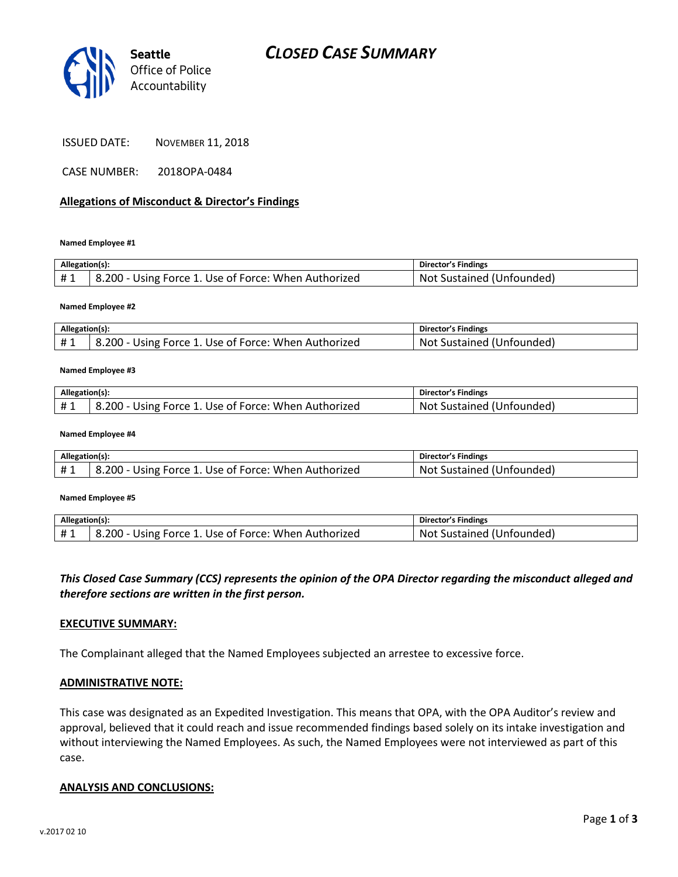

ISSUED DATE: NOVEMBER 11, 2018

CASE NUMBER: 2018OPA-0484

## **Allegations of Misconduct & Director's Findings**

**Named Employee #1**

| Allegation(s): |                                                      | Director's Findings             |
|----------------|------------------------------------------------------|---------------------------------|
| #1             | 8.200 - Using Force 1. Use of Force: When Authorized | : Sustained (Unfounded)<br>-Not |

**Named Employee #2**

| Allegation(s): |                                                                    | <b>Director's Findings</b>              |
|----------------|--------------------------------------------------------------------|-----------------------------------------|
| ᅲᆚ             | $200 -$<br>1. Use of Force: When Authorized<br>Using Force 1.<br>v | <b>Not</b><br>'Unfounded).<br>Sustained |

#### **Named Employee #3**

| Allegation(s): |                                                      | <b>Director's Findings</b> |
|----------------|------------------------------------------------------|----------------------------|
| #1             | 8.200 - Using Force 1. Use of Force: When Authorized | Not Sustained (Unfounded)  |

#### **Named Employee #4**

| Allegation(s): |                                                      | <b>Director's Findings</b>    |
|----------------|------------------------------------------------------|-------------------------------|
| $+$ $\sim$     | 8.200 - Using Force 1. Use of Force: When Authorized | Sustained (Unfounded)<br>Not. |

#### **Named Employee #5**

| Allegation(s): |                                                      | Director's Findings       |
|----------------|------------------------------------------------------|---------------------------|
| #1             | 8.200 - Using Force 1. Use of Force: When Authorized | Not Sustained (Unfounded) |

## *This Closed Case Summary (CCS) represents the opinion of the OPA Director regarding the misconduct alleged and therefore sections are written in the first person.*

### **EXECUTIVE SUMMARY:**

The Complainant alleged that the Named Employees subjected an arrestee to excessive force.

### **ADMINISTRATIVE NOTE:**

This case was designated as an Expedited Investigation. This means that OPA, with the OPA Auditor's review and approval, believed that it could reach and issue recommended findings based solely on its intake investigation and without interviewing the Named Employees. As such, the Named Employees were not interviewed as part of this case.

### **ANALYSIS AND CONCLUSIONS:**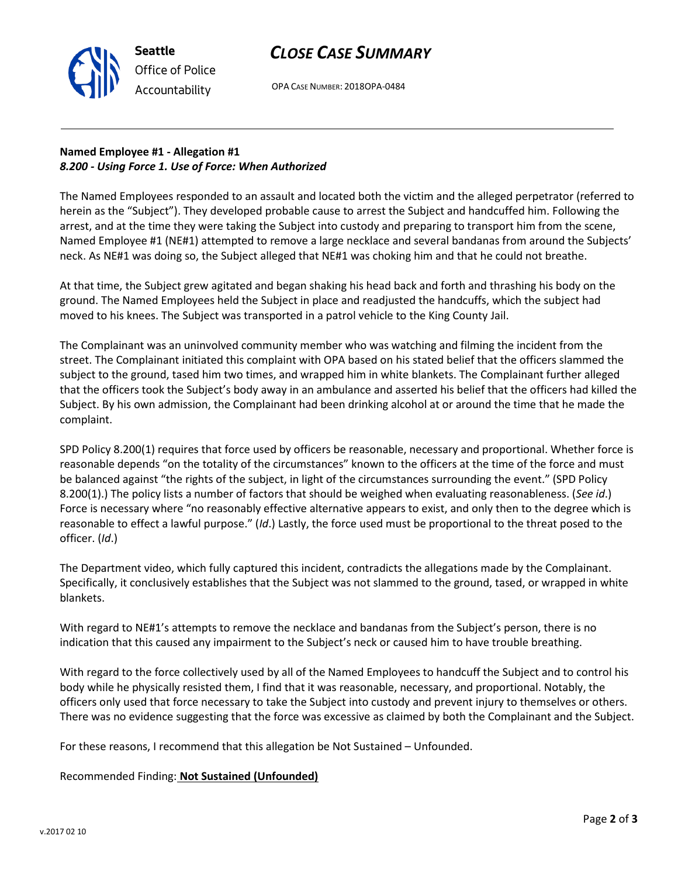# *CLOSE CASE SUMMARY*



OPA CASE NUMBER: 2018OPA-0484

## **Named Employee #1 - Allegation #1** *8.200 - Using Force 1. Use of Force: When Authorized*

The Named Employees responded to an assault and located both the victim and the alleged perpetrator (referred to herein as the "Subject"). They developed probable cause to arrest the Subject and handcuffed him. Following the arrest, and at the time they were taking the Subject into custody and preparing to transport him from the scene, Named Employee #1 (NE#1) attempted to remove a large necklace and several bandanas from around the Subjects' neck. As NE#1 was doing so, the Subject alleged that NE#1 was choking him and that he could not breathe.

At that time, the Subject grew agitated and began shaking his head back and forth and thrashing his body on the ground. The Named Employees held the Subject in place and readjusted the handcuffs, which the subject had moved to his knees. The Subject was transported in a patrol vehicle to the King County Jail.

The Complainant was an uninvolved community member who was watching and filming the incident from the street. The Complainant initiated this complaint with OPA based on his stated belief that the officers slammed the subject to the ground, tased him two times, and wrapped him in white blankets. The Complainant further alleged that the officers took the Subject's body away in an ambulance and asserted his belief that the officers had killed the Subject. By his own admission, the Complainant had been drinking alcohol at or around the time that he made the complaint.

SPD Policy 8.200(1) requires that force used by officers be reasonable, necessary and proportional. Whether force is reasonable depends "on the totality of the circumstances" known to the officers at the time of the force and must be balanced against "the rights of the subject, in light of the circumstances surrounding the event." (SPD Policy 8.200(1).) The policy lists a number of factors that should be weighed when evaluating reasonableness. (*See id*.) Force is necessary where "no reasonably effective alternative appears to exist, and only then to the degree which is reasonable to effect a lawful purpose." (*Id*.) Lastly, the force used must be proportional to the threat posed to the officer. (*Id*.)

The Department video, which fully captured this incident, contradicts the allegations made by the Complainant. Specifically, it conclusively establishes that the Subject was not slammed to the ground, tased, or wrapped in white blankets.

With regard to NE#1's attempts to remove the necklace and bandanas from the Subject's person, there is no indication that this caused any impairment to the Subject's neck or caused him to have trouble breathing.

With regard to the force collectively used by all of the Named Employees to handcuff the Subject and to control his body while he physically resisted them, I find that it was reasonable, necessary, and proportional. Notably, the officers only used that force necessary to take the Subject into custody and prevent injury to themselves or others. There was no evidence suggesting that the force was excessive as claimed by both the Complainant and the Subject.

For these reasons, I recommend that this allegation be Not Sustained – Unfounded.

Recommended Finding: **Not Sustained (Unfounded)**